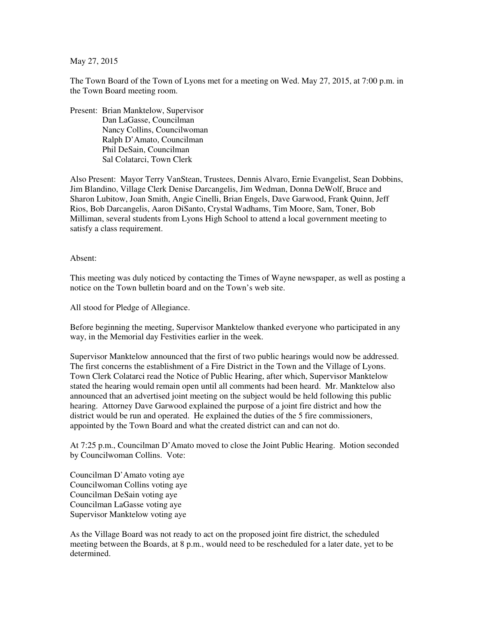May 27, 2015

The Town Board of the Town of Lyons met for a meeting on Wed. May 27, 2015, at 7:00 p.m. in the Town Board meeting room.

Present: Brian Manktelow, Supervisor Dan LaGasse, Councilman Nancy Collins, Councilwoman Ralph D'Amato, Councilman Phil DeSain, Councilman Sal Colatarci, Town Clerk

Also Present: Mayor Terry VanStean, Trustees, Dennis Alvaro, Ernie Evangelist, Sean Dobbins, Jim Blandino, Village Clerk Denise Darcangelis, Jim Wedman, Donna DeWolf, Bruce and Sharon Lubitow, Joan Smith, Angie Cinelli, Brian Engels, Dave Garwood, Frank Quinn, Jeff Rios, Bob Darcangelis, Aaron DiSanto, Crystal Wadhams, Tim Moore, Sam, Toner, Bob Milliman, several students from Lyons High School to attend a local government meeting to satisfy a class requirement.

Absent:

This meeting was duly noticed by contacting the Times of Wayne newspaper, as well as posting a notice on the Town bulletin board and on the Town's web site.

All stood for Pledge of Allegiance.

Before beginning the meeting, Supervisor Manktelow thanked everyone who participated in any way, in the Memorial day Festivities earlier in the week.

Supervisor Manktelow announced that the first of two public hearings would now be addressed. The first concerns the establishment of a Fire District in the Town and the Village of Lyons. Town Clerk Colatarci read the Notice of Public Hearing, after which, Supervisor Manktelow stated the hearing would remain open until all comments had been heard. Mr. Manktelow also announced that an advertised joint meeting on the subject would be held following this public hearing. Attorney Dave Garwood explained the purpose of a joint fire district and how the district would be run and operated. He explained the duties of the 5 fire commissioners, appointed by the Town Board and what the created district can and can not do.

At 7:25 p.m., Councilman D'Amato moved to close the Joint Public Hearing. Motion seconded by Councilwoman Collins. Vote:

Councilman D'Amato voting aye Councilwoman Collins voting aye Councilman DeSain voting aye Councilman LaGasse voting aye Supervisor Manktelow voting aye

As the Village Board was not ready to act on the proposed joint fire district, the scheduled meeting between the Boards, at 8 p.m., would need to be rescheduled for a later date, yet to be determined.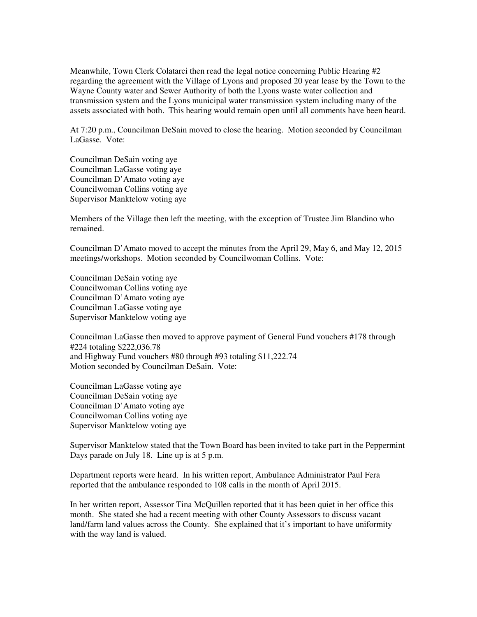Meanwhile, Town Clerk Colatarci then read the legal notice concerning Public Hearing #2 regarding the agreement with the Village of Lyons and proposed 20 year lease by the Town to the Wayne County water and Sewer Authority of both the Lyons waste water collection and transmission system and the Lyons municipal water transmission system including many of the assets associated with both. This hearing would remain open until all comments have been heard.

At 7:20 p.m., Councilman DeSain moved to close the hearing. Motion seconded by Councilman LaGasse. Vote:

Councilman DeSain voting aye Councilman LaGasse voting aye Councilman D'Amato voting aye Councilwoman Collins voting aye Supervisor Manktelow voting aye

Members of the Village then left the meeting, with the exception of Trustee Jim Blandino who remained.

Councilman D'Amato moved to accept the minutes from the April 29, May 6, and May 12, 2015 meetings/workshops. Motion seconded by Councilwoman Collins. Vote:

Councilman DeSain voting aye Councilwoman Collins voting aye Councilman D'Amato voting aye Councilman LaGasse voting aye Supervisor Manktelow voting aye

Councilman LaGasse then moved to approve payment of General Fund vouchers #178 through #224 totaling \$222,036.78 and Highway Fund vouchers #80 through #93 totaling \$11,222.74 Motion seconded by Councilman DeSain. Vote:

Councilman LaGasse voting aye Councilman DeSain voting aye Councilman D'Amato voting aye Councilwoman Collins voting aye Supervisor Manktelow voting aye

Supervisor Manktelow stated that the Town Board has been invited to take part in the Peppermint Days parade on July 18. Line up is at 5 p.m.

Department reports were heard. In his written report, Ambulance Administrator Paul Fera reported that the ambulance responded to 108 calls in the month of April 2015.

In her written report, Assessor Tina McQuillen reported that it has been quiet in her office this month. She stated she had a recent meeting with other County Assessors to discuss vacant land/farm land values across the County. She explained that it's important to have uniformity with the way land is valued.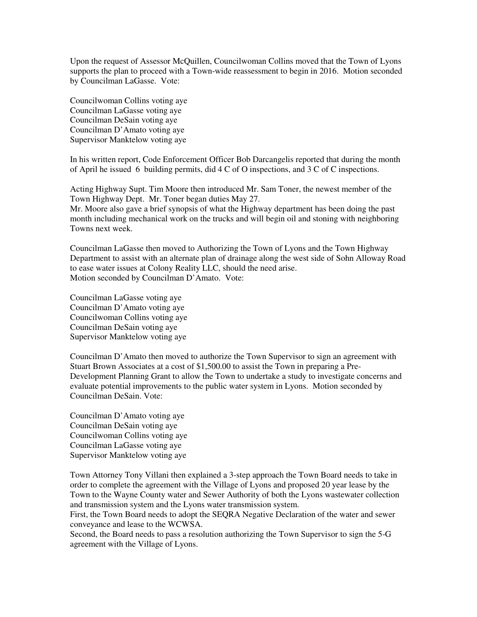Upon the request of Assessor McQuillen, Councilwoman Collins moved that the Town of Lyons supports the plan to proceed with a Town-wide reassessment to begin in 2016. Motion seconded by Councilman LaGasse. Vote:

Councilwoman Collins voting aye Councilman LaGasse voting aye Councilman DeSain voting aye Councilman D'Amato voting aye Supervisor Manktelow voting aye

In his written report, Code Enforcement Officer Bob Darcangelis reported that during the month of April he issued 6 building permits, did 4 C of O inspections, and 3 C of C inspections.

Acting Highway Supt. Tim Moore then introduced Mr. Sam Toner, the newest member of the Town Highway Dept. Mr. Toner began duties May 27.

Mr. Moore also gave a brief synopsis of what the Highway department has been doing the past month including mechanical work on the trucks and will begin oil and stoning with neighboring Towns next week.

Councilman LaGasse then moved to Authorizing the Town of Lyons and the Town Highway Department to assist with an alternate plan of drainage along the west side of Sohn Alloway Road to ease water issues at Colony Reality LLC, should the need arise. Motion seconded by Councilman D'Amato. Vote:

Councilman LaGasse voting aye Councilman D'Amato voting aye Councilwoman Collins voting aye Councilman DeSain voting aye Supervisor Manktelow voting aye

Councilman D'Amato then moved to authorize the Town Supervisor to sign an agreement with Stuart Brown Associates at a cost of \$1,500.00 to assist the Town in preparing a Pre-Development Planning Grant to allow the Town to undertake a study to investigate concerns and evaluate potential improvements to the public water system in Lyons. Motion seconded by Councilman DeSain. Vote:

Councilman D'Amato voting aye Councilman DeSain voting aye Councilwoman Collins voting aye Councilman LaGasse voting aye Supervisor Manktelow voting aye

Town Attorney Tony Villani then explained a 3-step approach the Town Board needs to take in order to complete the agreement with the Village of Lyons and proposed 20 year lease by the Town to the Wayne County water and Sewer Authority of both the Lyons wastewater collection and transmission system and the Lyons water transmission system.

First, the Town Board needs to adopt the SEQRA Negative Declaration of the water and sewer conveyance and lease to the WCWSA.

Second, the Board needs to pass a resolution authorizing the Town Supervisor to sign the 5-G agreement with the Village of Lyons.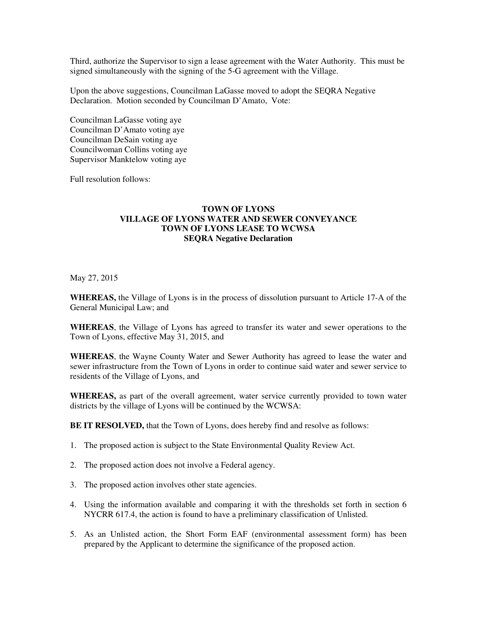Third, authorize the Supervisor to sign a lease agreement with the Water Authority. This must be signed simultaneously with the signing of the 5-G agreement with the Village.

Upon the above suggestions, Councilman LaGasse moved to adopt the SEQRA Negative Declaration. Motion seconded by Councilman D'Amato, Vote:

Councilman LaGasse voting aye Councilman D'Amato voting aye Councilman DeSain voting aye Councilwoman Collins voting aye Supervisor Manktelow voting aye

Full resolution follows:

## **TOWN OF LYONS VILLAGE OF LYONS WATER AND SEWER CONVEYANCE TOWN OF LYONS LEASE TO WCWSA SEQRA Negative Declaration**

May 27, 2015

**WHEREAS,** the Village of Lyons is in the process of dissolution pursuant to Article 17-A of the General Municipal Law; and

**WHEREAS**, the Village of Lyons has agreed to transfer its water and sewer operations to the Town of Lyons, effective May 31, 2015, and

**WHEREAS**, the Wayne County Water and Sewer Authority has agreed to lease the water and sewer infrastructure from the Town of Lyons in order to continue said water and sewer service to residents of the Village of Lyons, and

**WHEREAS,** as part of the overall agreement, water service currently provided to town water districts by the village of Lyons will be continued by the WCWSA:

**BE IT RESOLVED,** that the Town of Lyons, does hereby find and resolve as follows:

- 1. The proposed action is subject to the State Environmental Quality Review Act.
- 2. The proposed action does not involve a Federal agency.
- 3. The proposed action involves other state agencies.
- 4. Using the information available and comparing it with the thresholds set forth in section 6 NYCRR 617.4, the action is found to have a preliminary classification of Unlisted.
- 5. As an Unlisted action, the Short Form EAF (environmental assessment form) has been prepared by the Applicant to determine the significance of the proposed action.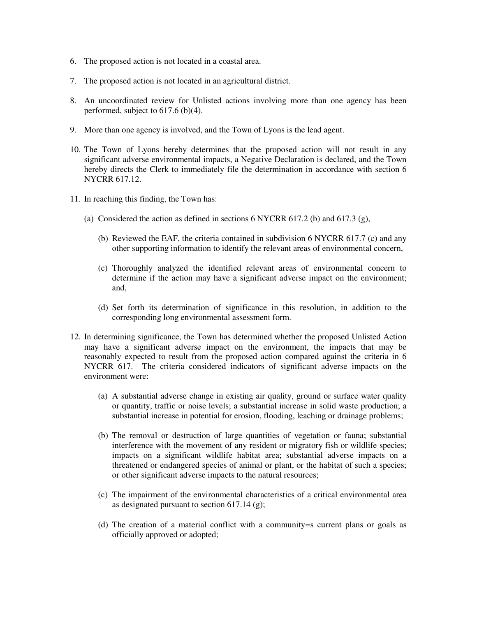- 6. The proposed action is not located in a coastal area.
- 7. The proposed action is not located in an agricultural district.
- 8. An uncoordinated review for Unlisted actions involving more than one agency has been performed, subject to 617.6 (b)(4).
- 9. More than one agency is involved, and the Town of Lyons is the lead agent.
- 10. The Town of Lyons hereby determines that the proposed action will not result in any significant adverse environmental impacts, a Negative Declaration is declared, and the Town hereby directs the Clerk to immediately file the determination in accordance with section 6 NYCRR 617.12.
- 11. In reaching this finding, the Town has:
	- (a) Considered the action as defined in sections 6 NYCRR 617.2 (b) and 617.3 (g),
		- (b) Reviewed the EAF, the criteria contained in subdivision 6 NYCRR 617.7 (c) and any other supporting information to identify the relevant areas of environmental concern,
		- (c) Thoroughly analyzed the identified relevant areas of environmental concern to determine if the action may have a significant adverse impact on the environment; and,
		- (d) Set forth its determination of significance in this resolution, in addition to the corresponding long environmental assessment form.
- 12. In determining significance, the Town has determined whether the proposed Unlisted Action may have a significant adverse impact on the environment, the impacts that may be reasonably expected to result from the proposed action compared against the criteria in 6 NYCRR 617. The criteria considered indicators of significant adverse impacts on the environment were:
	- (a) A substantial adverse change in existing air quality, ground or surface water quality or quantity, traffic or noise levels; a substantial increase in solid waste production; a substantial increase in potential for erosion, flooding, leaching or drainage problems;
	- (b) The removal or destruction of large quantities of vegetation or fauna; substantial interference with the movement of any resident or migratory fish or wildlife species; impacts on a significant wildlife habitat area; substantial adverse impacts on a threatened or endangered species of animal or plant, or the habitat of such a species; or other significant adverse impacts to the natural resources;
	- (c) The impairment of the environmental characteristics of a critical environmental area as designated pursuant to section 617.14 (g);
	- (d) The creation of a material conflict with a community=s current plans or goals as officially approved or adopted;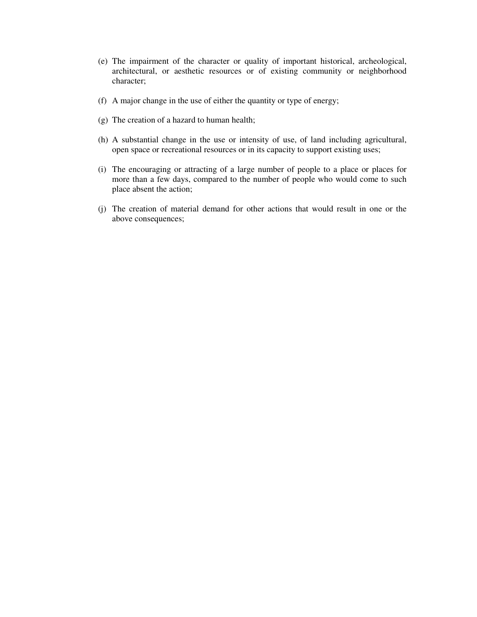- (e) The impairment of the character or quality of important historical, archeological, architectural, or aesthetic resources or of existing community or neighborhood character;
- (f) A major change in the use of either the quantity or type of energy;
- (g) The creation of a hazard to human health;
- (h) A substantial change in the use or intensity of use, of land including agricultural, open space or recreational resources or in its capacity to support existing uses;
- (i) The encouraging or attracting of a large number of people to a place or places for more than a few days, compared to the number of people who would come to such place absent the action;
- (j) The creation of material demand for other actions that would result in one or the above consequences;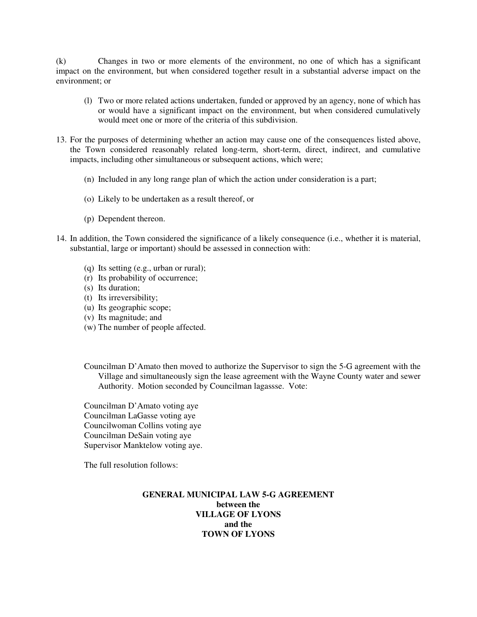(k) Changes in two or more elements of the environment, no one of which has a significant impact on the environment, but when considered together result in a substantial adverse impact on the environment; or

- (l) Two or more related actions undertaken, funded or approved by an agency, none of which has or would have a significant impact on the environment, but when considered cumulatively would meet one or more of the criteria of this subdivision.
- 13. For the purposes of determining whether an action may cause one of the consequences listed above, the Town considered reasonably related long-term, short-term, direct, indirect, and cumulative impacts, including other simultaneous or subsequent actions, which were;
	- (n) Included in any long range plan of which the action under consideration is a part;
	- (o) Likely to be undertaken as a result thereof, or
	- (p) Dependent thereon.
- 14. In addition, the Town considered the significance of a likely consequence (i.e., whether it is material, substantial, large or important) should be assessed in connection with:
	- (q) Its setting (e.g., urban or rural);
	- (r) Its probability of occurrence;
	- (s) Its duration;
	- (t) Its irreversibility;
	- (u) Its geographic scope;
	- (v) Its magnitude; and
	- (w) The number of people affected.
	- Councilman D'Amato then moved to authorize the Supervisor to sign the 5-G agreement with the Village and simultaneously sign the lease agreement with the Wayne County water and sewer Authority. Motion seconded by Councilman lagassse. Vote:

Councilman D'Amato voting aye Councilman LaGasse voting aye Councilwoman Collins voting aye Councilman DeSain voting aye Supervisor Manktelow voting aye.

The full resolution follows:

## **GENERAL MUNICIPAL LAW 5-G AGREEMENT between the VILLAGE OF LYONS and the TOWN OF LYONS**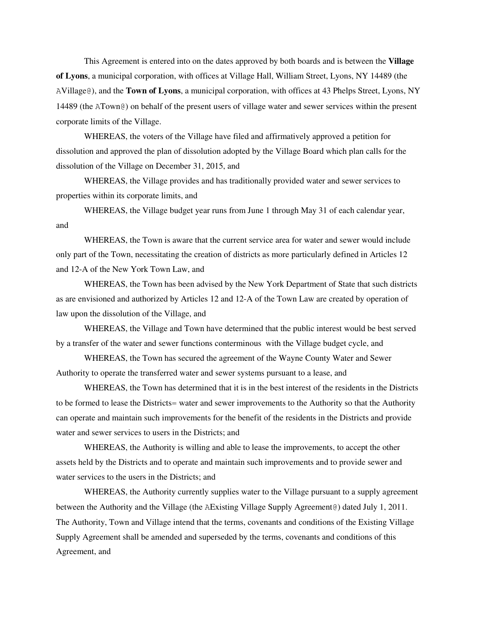This Agreement is entered into on the dates approved by both boards and is between the **Village of Lyons**, a municipal corporation, with offices at Village Hall, William Street, Lyons, NY 14489 (the AVillage@), and the **Town of Lyons**, a municipal corporation, with offices at 43 Phelps Street, Lyons, NY 14489 (the ATown@) on behalf of the present users of village water and sewer services within the present corporate limits of the Village.

WHEREAS, the voters of the Village have filed and affirmatively approved a petition for dissolution and approved the plan of dissolution adopted by the Village Board which plan calls for the dissolution of the Village on December 31, 2015, and

WHEREAS, the Village provides and has traditionally provided water and sewer services to properties within its corporate limits, and

WHEREAS, the Village budget year runs from June 1 through May 31 of each calendar year, and

WHEREAS, the Town is aware that the current service area for water and sewer would include only part of the Town, necessitating the creation of districts as more particularly defined in Articles 12 and 12-A of the New York Town Law, and

WHEREAS, the Town has been advised by the New York Department of State that such districts as are envisioned and authorized by Articles 12 and 12-A of the Town Law are created by operation of law upon the dissolution of the Village, and

WHEREAS, the Village and Town have determined that the public interest would be best served by a transfer of the water and sewer functions conterminous with the Village budget cycle, and

WHEREAS, the Town has secured the agreement of the Wayne County Water and Sewer Authority to operate the transferred water and sewer systems pursuant to a lease, and

WHEREAS, the Town has determined that it is in the best interest of the residents in the Districts to be formed to lease the Districts= water and sewer improvements to the Authority so that the Authority can operate and maintain such improvements for the benefit of the residents in the Districts and provide water and sewer services to users in the Districts; and

WHEREAS, the Authority is willing and able to lease the improvements, to accept the other assets held by the Districts and to operate and maintain such improvements and to provide sewer and water services to the users in the Districts; and

WHEREAS, the Authority currently supplies water to the Village pursuant to a supply agreement between the Authority and the Village (the AExisting Village Supply Agreement@) dated July 1, 2011. The Authority, Town and Village intend that the terms, covenants and conditions of the Existing Village Supply Agreement shall be amended and superseded by the terms, covenants and conditions of this Agreement, and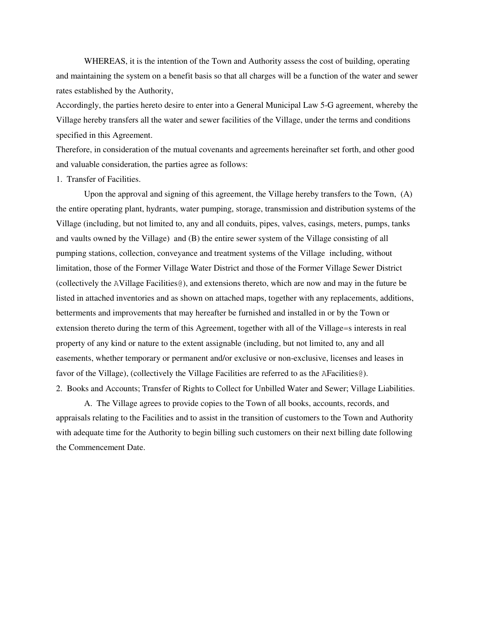WHEREAS, it is the intention of the Town and Authority assess the cost of building, operating and maintaining the system on a benefit basis so that all charges will be a function of the water and sewer rates established by the Authority,

Accordingly, the parties hereto desire to enter into a General Municipal Law 5-G agreement, whereby the Village hereby transfers all the water and sewer facilities of the Village, under the terms and conditions specified in this Agreement.

Therefore, in consideration of the mutual covenants and agreements hereinafter set forth, and other good and valuable consideration, the parties agree as follows:

## 1. Transfer of Facilities.

Upon the approval and signing of this agreement, the Village hereby transfers to the Town, (A) the entire operating plant, hydrants, water pumping, storage, transmission and distribution systems of the Village (including, but not limited to, any and all conduits, pipes, valves, casings, meters, pumps, tanks and vaults owned by the Village) and (B) the entire sewer system of the Village consisting of all pumping stations, collection, conveyance and treatment systems of the Village including, without limitation, those of the Former Village Water District and those of the Former Village Sewer District (collectively the AVillage Facilities@), and extensions thereto, which are now and may in the future be listed in attached inventories and as shown on attached maps, together with any replacements, additions, betterments and improvements that may hereafter be furnished and installed in or by the Town or extension thereto during the term of this Agreement, together with all of the Village=s interests in real property of any kind or nature to the extent assignable (including, but not limited to, any and all easements, whether temporary or permanent and/or exclusive or non-exclusive, licenses and leases in favor of the Village), (collectively the Village Facilities are referred to as the AFacilities@). 2. Books and Accounts; Transfer of Rights to Collect for Unbilled Water and Sewer; Village Liabilities.

A. The Village agrees to provide copies to the Town of all books, accounts, records, and appraisals relating to the Facilities and to assist in the transition of customers to the Town and Authority with adequate time for the Authority to begin billing such customers on their next billing date following the Commencement Date.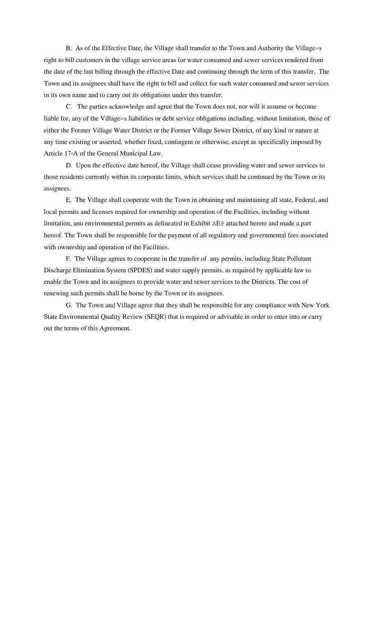B. As of the Effective Date, the Village shall transfer to the Town and Authority the Village=s right to bill customers in the village service areas for water consumed and sewer services rendered from the date of the last billing through the effective Date and continuing through the term of this transfer. The Town and its assignees shall have the right to bill and collect for such water consumed and sewer services in its own name and to carry out its obligations under this transfer.

C. The parties acknowledge and agree that the Town does not, nor will it assume or become liable for, any of the Village=s liabilities or debt service obligations including, without limitation, those of either the Former Village Water District or the Former Village Sewer District, of any kind or nature at any time existing or asserted, whether fixed, contingent or otherwise, except as specifically imposed by Article 17-A of the General Municipal Law.

D. Upon the effective date hereof, the Village shall cease providing water and sewer services to those residents currently within its corporate limits, which services shall be continued by the Town or its assignees.

E. The Village shall cooperate with the Town in obtaining and maintaining all state, Federal, and local permits and licenses required for ownership and operation of the Facilities, including without limitation, anu environmental permits as delineated in Exhibit AE@ attached hereto and made a part hereof. The Town shall be responsible for the payment of all regulatory and governmental fees associated with ownership and operation of the Facilities.

F. The Village agrees to cooperate in the transfer of any permits, including State Pollutant Discharge Elimination System (SPDES) and water supply permits, as required by applicable law to enable the Town and its assignees to provide water and sewer services to the Districts. The cost of renewing such permits shall be borne by the Town or its assignees.

G. The Town and Village agree that they shall be responsible for any compliance with New York State Environmental Quality Review (SEQR) that is required or advisable in order to enter into or carry out the terms of this Agreement.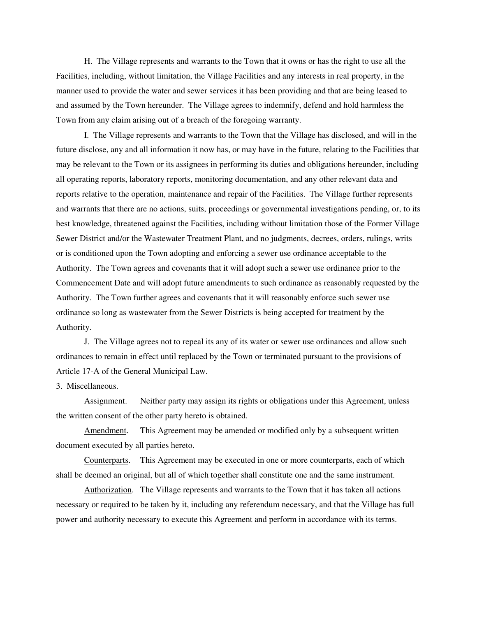H. The Village represents and warrants to the Town that it owns or has the right to use all the Facilities, including, without limitation, the Village Facilities and any interests in real property, in the manner used to provide the water and sewer services it has been providing and that are being leased to and assumed by the Town hereunder. The Village agrees to indemnify, defend and hold harmless the Town from any claim arising out of a breach of the foregoing warranty.

I. The Village represents and warrants to the Town that the Village has disclosed, and will in the future disclose, any and all information it now has, or may have in the future, relating to the Facilities that may be relevant to the Town or its assignees in performing its duties and obligations hereunder, including all operating reports, laboratory reports, monitoring documentation, and any other relevant data and reports relative to the operation, maintenance and repair of the Facilities. The Village further represents and warrants that there are no actions, suits, proceedings or governmental investigations pending, or, to its best knowledge, threatened against the Facilities, including without limitation those of the Former Village Sewer District and/or the Wastewater Treatment Plant, and no judgments, decrees, orders, rulings, writs or is conditioned upon the Town adopting and enforcing a sewer use ordinance acceptable to the Authority. The Town agrees and covenants that it will adopt such a sewer use ordinance prior to the Commencement Date and will adopt future amendments to such ordinance as reasonably requested by the Authority. The Town further agrees and covenants that it will reasonably enforce such sewer use ordinance so long as wastewater from the Sewer Districts is being accepted for treatment by the Authority.

J. The Village agrees not to repeal its any of its water or sewer use ordinances and allow such ordinances to remain in effect until replaced by the Town or terminated pursuant to the provisions of Article 17-A of the General Municipal Law.

3. Miscellaneous.

Assignment. Neither party may assign its rights or obligations under this Agreement, unless the written consent of the other party hereto is obtained.

Amendment. This Agreement may be amended or modified only by a subsequent written document executed by all parties hereto.

Counterparts. This Agreement may be executed in one or more counterparts, each of which shall be deemed an original, but all of which together shall constitute one and the same instrument.

Authorization. The Village represents and warrants to the Town that it has taken all actions necessary or required to be taken by it, including any referendum necessary, and that the Village has full power and authority necessary to execute this Agreement and perform in accordance with its terms.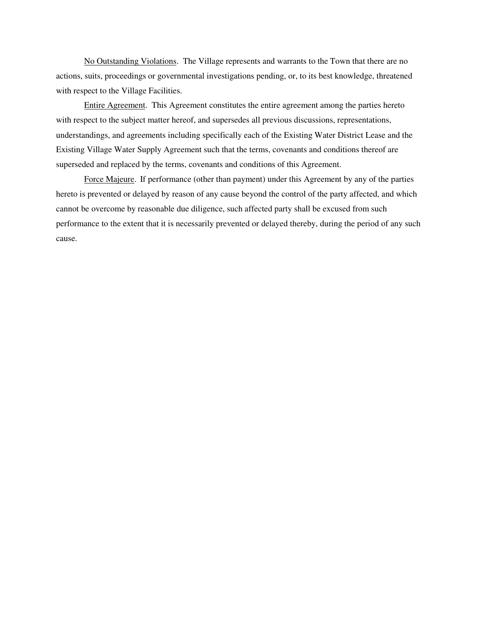No Outstanding Violations. The Village represents and warrants to the Town that there are no actions, suits, proceedings or governmental investigations pending, or, to its best knowledge, threatened with respect to the Village Facilities.

Entire Agreement. This Agreement constitutes the entire agreement among the parties hereto with respect to the subject matter hereof, and supersedes all previous discussions, representations, understandings, and agreements including specifically each of the Existing Water District Lease and the Existing Village Water Supply Agreement such that the terms, covenants and conditions thereof are superseded and replaced by the terms, covenants and conditions of this Agreement.

Force Majeure. If performance (other than payment) under this Agreement by any of the parties hereto is prevented or delayed by reason of any cause beyond the control of the party affected, and which cannot be overcome by reasonable due diligence, such affected party shall be excused from such performance to the extent that it is necessarily prevented or delayed thereby, during the period of any such cause.